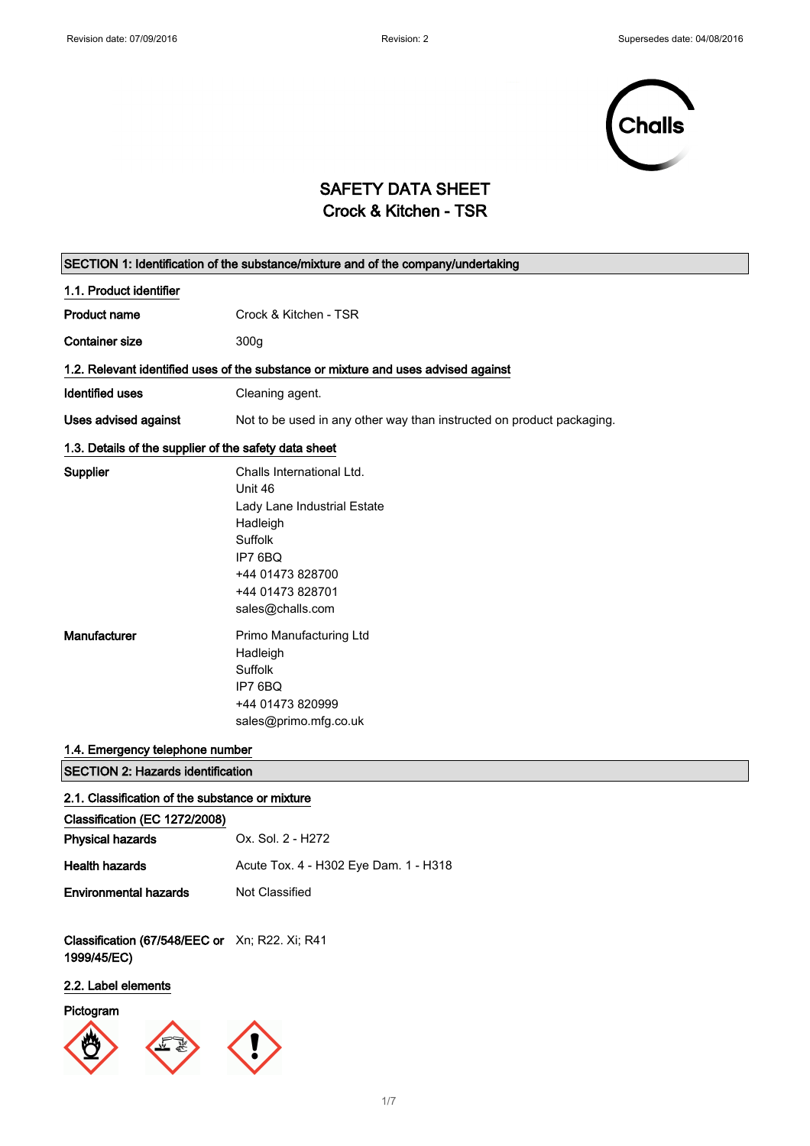

## SAFETY DATA SHEET Crock & Kitchen - TSR

| SECTION 1: Identification of the substance/mixture and of the company/undertaking |                                                                                                                                                                   |  |  |
|-----------------------------------------------------------------------------------|-------------------------------------------------------------------------------------------------------------------------------------------------------------------|--|--|
| 1.1. Product identifier                                                           |                                                                                                                                                                   |  |  |
| <b>Product name</b>                                                               | Crock & Kitchen - TSR                                                                                                                                             |  |  |
| <b>Container size</b>                                                             | 300g                                                                                                                                                              |  |  |
|                                                                                   | 1.2. Relevant identified uses of the substance or mixture and uses advised against                                                                                |  |  |
| <b>Identified uses</b>                                                            | Cleaning agent.                                                                                                                                                   |  |  |
| Uses advised against                                                              | Not to be used in any other way than instructed on product packaging.                                                                                             |  |  |
| 1.3. Details of the supplier of the safety data sheet                             |                                                                                                                                                                   |  |  |
| Supplier                                                                          | Challs International Ltd.<br>Unit 46<br>Lady Lane Industrial Estate<br>Hadleigh<br>Suffolk<br>IP7 6BQ<br>+44 01473 828700<br>+44 01473 828701<br>sales@challs.com |  |  |
| Manufacturer                                                                      | Primo Manufacturing Ltd<br>Hadleigh<br>Suffolk<br>IP7 6BQ<br>+44 01473 820999<br>sales@primo.mfg.co.uk                                                            |  |  |
| 1.4. Emergency telephone number                                                   |                                                                                                                                                                   |  |  |
| <b>SECTION 2: Hazards identification</b>                                          |                                                                                                                                                                   |  |  |
| 2.1. Classification of the substance or mixture                                   |                                                                                                                                                                   |  |  |
| Classification (EC 1272/2008)<br><b>Physical hazards</b>                          | Ox. Sol. 2 - H272                                                                                                                                                 |  |  |
| <b>Health hazards</b>                                                             | Acute Tox. 4 - H302 Eye Dam. 1 - H318                                                                                                                             |  |  |
| <b>Environmental hazards</b>                                                      | Not Classified                                                                                                                                                    |  |  |
|                                                                                   |                                                                                                                                                                   |  |  |
| Classification (67/548/EEC or Xn; R22. Xi; R41<br>1999/45/EC)                     |                                                                                                                                                                   |  |  |
| 2.2. Label elements                                                               |                                                                                                                                                                   |  |  |
|                                                                                   |                                                                                                                                                                   |  |  |

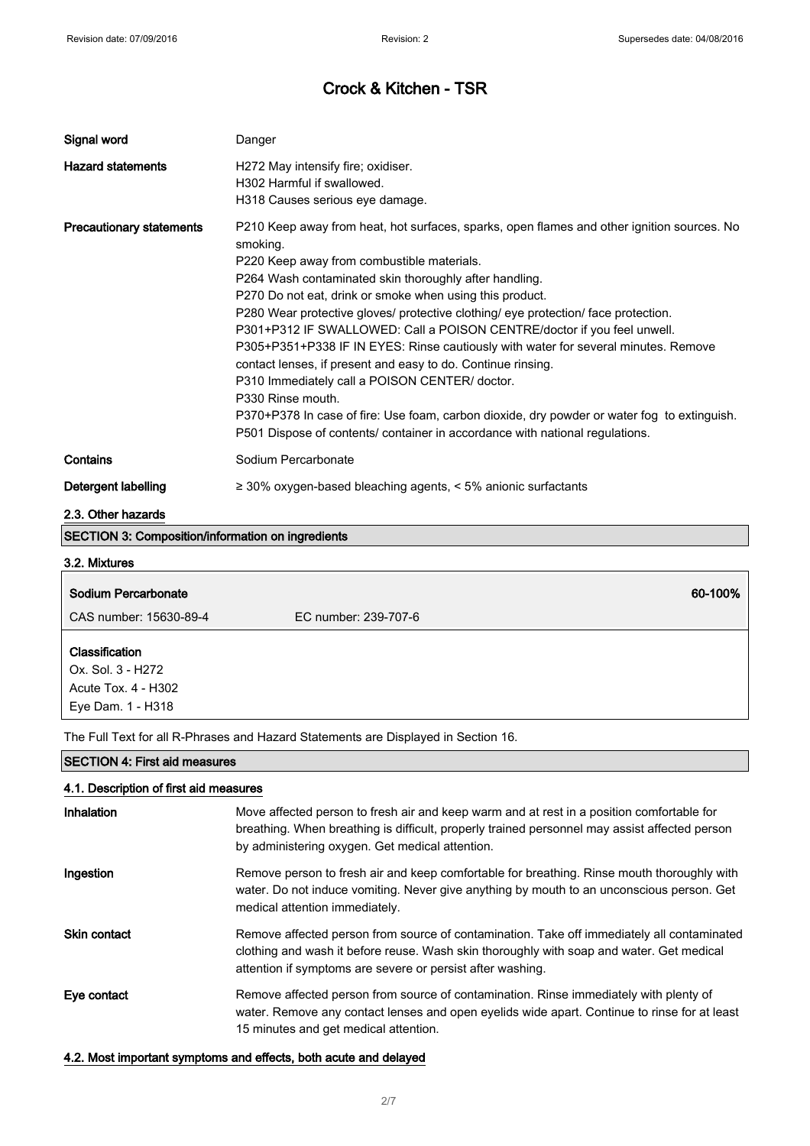| Signal word                                              | Danger                                                                                                                                                                                                                                                                                                                                                                                                                                                                                                                                                                                                                                                                                                                                                                                                                                                  |
|----------------------------------------------------------|---------------------------------------------------------------------------------------------------------------------------------------------------------------------------------------------------------------------------------------------------------------------------------------------------------------------------------------------------------------------------------------------------------------------------------------------------------------------------------------------------------------------------------------------------------------------------------------------------------------------------------------------------------------------------------------------------------------------------------------------------------------------------------------------------------------------------------------------------------|
| <b>Hazard statements</b>                                 | H272 May intensify fire; oxidiser.<br>H302 Harmful if swallowed.<br>H318 Causes serious eye damage.                                                                                                                                                                                                                                                                                                                                                                                                                                                                                                                                                                                                                                                                                                                                                     |
| <b>Precautionary statements</b>                          | P210 Keep away from heat, hot surfaces, sparks, open flames and other ignition sources. No<br>smoking.<br>P220 Keep away from combustible materials.<br>P264 Wash contaminated skin thoroughly after handling.<br>P270 Do not eat, drink or smoke when using this product.<br>P280 Wear protective gloves/ protective clothing/ eye protection/ face protection.<br>P301+P312 IF SWALLOWED: Call a POISON CENTRE/doctor if you feel unwell.<br>P305+P351+P338 IF IN EYES: Rinse cautiously with water for several minutes. Remove<br>contact lenses, if present and easy to do. Continue rinsing.<br>P310 Immediately call a POISON CENTER/ doctor.<br>P330 Rinse mouth.<br>P370+P378 In case of fire: Use foam, carbon dioxide, dry powder or water fog to extinguish.<br>P501 Dispose of contents/ container in accordance with national regulations. |
| Contains                                                 | Sodium Percarbonate                                                                                                                                                                                                                                                                                                                                                                                                                                                                                                                                                                                                                                                                                                                                                                                                                                     |
| <b>Detergent labelling</b><br>2.3. Other hazards         | $\geq$ 30% oxygen-based bleaching agents, < 5% anionic surfactants                                                                                                                                                                                                                                                                                                                                                                                                                                                                                                                                                                                                                                                                                                                                                                                      |
| <b>SECTION 3: Composition/information on ingredients</b> |                                                                                                                                                                                                                                                                                                                                                                                                                                                                                                                                                                                                                                                                                                                                                                                                                                                         |
| 3.2. Mixtures                                            |                                                                                                                                                                                                                                                                                                                                                                                                                                                                                                                                                                                                                                                                                                                                                                                                                                                         |
| Sodium Percarbonate                                      | 60-100%                                                                                                                                                                                                                                                                                                                                                                                                                                                                                                                                                                                                                                                                                                                                                                                                                                                 |
| CAS number: 15630-89-4                                   | EC number: 239-707-6                                                                                                                                                                                                                                                                                                                                                                                                                                                                                                                                                                                                                                                                                                                                                                                                                                    |

| Classification      |  |  |
|---------------------|--|--|
| Ox. Sol. 3 - H272   |  |  |
| Acute Tox, 4 - H302 |  |  |
| Eye Dam. 1 - H318   |  |  |

The Full Text for all R-Phrases and Hazard Statements are Displayed in Section 16.

### SECTION 4: First aid measures

### 4.1. Description of first aid measures

| Inhalation          | Move affected person to fresh air and keep warm and at rest in a position comfortable for<br>breathing. When breathing is difficult, properly trained personnel may assist affected person<br>by administering oxygen. Get medical attention.        |
|---------------------|------------------------------------------------------------------------------------------------------------------------------------------------------------------------------------------------------------------------------------------------------|
| Ingestion           | Remove person to fresh air and keep comfortable for breathing. Rinse mouth thoroughly with<br>water. Do not induce vomiting. Never give anything by mouth to an unconscious person. Get<br>medical attention immediately.                            |
| <b>Skin contact</b> | Remove affected person from source of contamination. Take off immediately all contaminated<br>clothing and wash it before reuse. Wash skin thoroughly with soap and water. Get medical<br>attention if symptoms are severe or persist after washing. |
| Eye contact         | Remove affected person from source of contamination. Rinse immediately with plenty of<br>water. Remove any contact lenses and open eyelids wide apart. Continue to rinse for at least<br>15 minutes and get medical attention.                       |

### 4.2. Most important symptoms and effects, both acute and delayed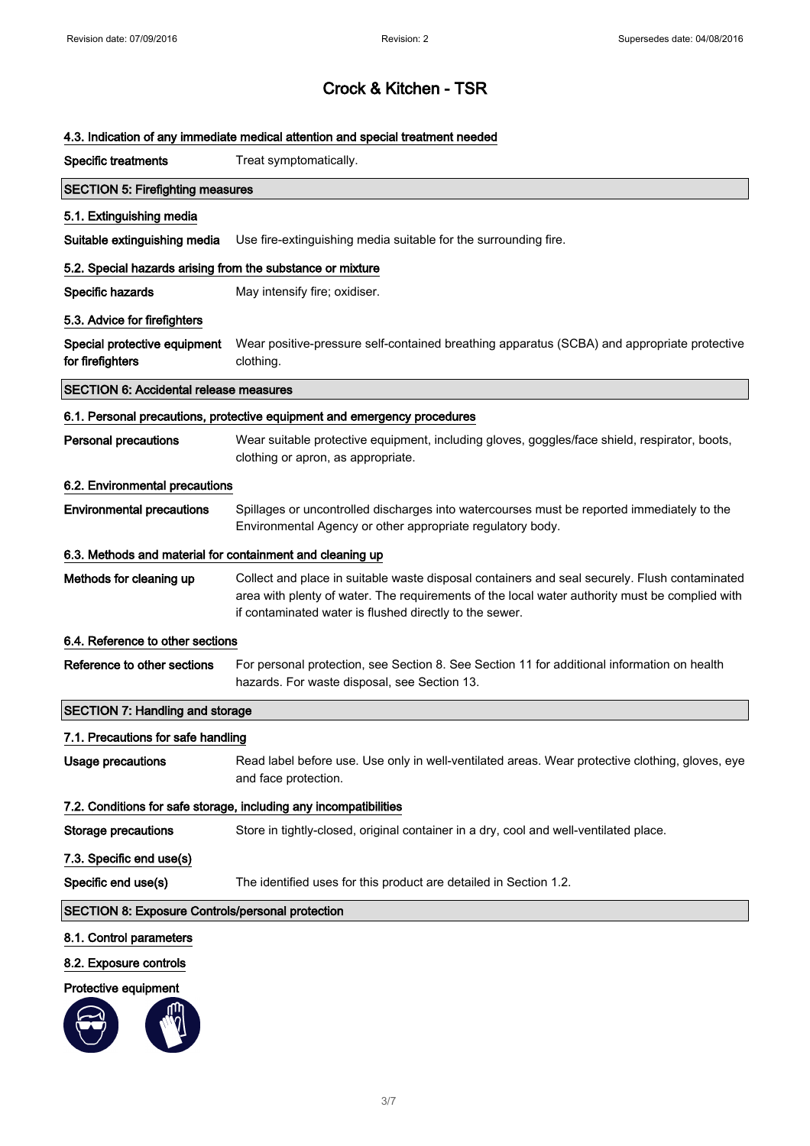### 4.3. Indication of any immediate medical attention and special treatment needed

| <b>Specific treatments</b>                                 | Treat symptomatically.                                                                                                                                                                                                                                     |  |  |
|------------------------------------------------------------|------------------------------------------------------------------------------------------------------------------------------------------------------------------------------------------------------------------------------------------------------------|--|--|
| <b>SECTION 5: Firefighting measures</b>                    |                                                                                                                                                                                                                                                            |  |  |
| 5.1. Extinguishing media                                   |                                                                                                                                                                                                                                                            |  |  |
| Suitable extinguishing media                               | Use fire-extinguishing media suitable for the surrounding fire.                                                                                                                                                                                            |  |  |
| 5.2. Special hazards arising from the substance or mixture |                                                                                                                                                                                                                                                            |  |  |
| Specific hazards                                           | May intensify fire; oxidiser.                                                                                                                                                                                                                              |  |  |
| 5.3. Advice for firefighters                               |                                                                                                                                                                                                                                                            |  |  |
| Special protective equipment<br>for firefighters           | Wear positive-pressure self-contained breathing apparatus (SCBA) and appropriate protective<br>clothing.                                                                                                                                                   |  |  |
| <b>SECTION 6: Accidental release measures</b>              |                                                                                                                                                                                                                                                            |  |  |
|                                                            | 6.1. Personal precautions, protective equipment and emergency procedures                                                                                                                                                                                   |  |  |
| <b>Personal precautions</b>                                | Wear suitable protective equipment, including gloves, goggles/face shield, respirator, boots,<br>clothing or apron, as appropriate.                                                                                                                        |  |  |
| 6.2. Environmental precautions                             |                                                                                                                                                                                                                                                            |  |  |
| <b>Environmental precautions</b>                           | Spillages or uncontrolled discharges into watercourses must be reported immediately to the<br>Environmental Agency or other appropriate regulatory body.                                                                                                   |  |  |
| 6.3. Methods and material for containment and cleaning up  |                                                                                                                                                                                                                                                            |  |  |
| Methods for cleaning up                                    | Collect and place in suitable waste disposal containers and seal securely. Flush contaminated<br>area with plenty of water. The requirements of the local water authority must be complied with<br>if contaminated water is flushed directly to the sewer. |  |  |
| 6.4. Reference to other sections                           |                                                                                                                                                                                                                                                            |  |  |
| Reference to other sections                                | For personal protection, see Section 8. See Section 11 for additional information on health<br>hazards. For waste disposal, see Section 13.                                                                                                                |  |  |
| <b>SECTION 7: Handling and storage</b>                     |                                                                                                                                                                                                                                                            |  |  |
| 7.1. Precautions for safe handling                         |                                                                                                                                                                                                                                                            |  |  |
| <b>Usage precautions</b>                                   | Read label before use. Use only in well-ventilated areas. Wear protective clothing, gloves, eye<br>and face protection.                                                                                                                                    |  |  |
|                                                            | 7.2. Conditions for safe storage, including any incompatibilities                                                                                                                                                                                          |  |  |
| <b>Storage precautions</b>                                 | Store in tightly-closed, original container in a dry, cool and well-ventilated place.                                                                                                                                                                      |  |  |
| 7.3. Specific end use(s)                                   |                                                                                                                                                                                                                                                            |  |  |
| Specific end use(s)                                        | The identified uses for this product are detailed in Section 1.2.                                                                                                                                                                                          |  |  |
| <b>SECTION 8: Exposure Controls/personal protection</b>    |                                                                                                                                                                                                                                                            |  |  |
| 8.1. Control parameters                                    |                                                                                                                                                                                                                                                            |  |  |
| 8.2. Exposure controls                                     |                                                                                                                                                                                                                                                            |  |  |
| Protective equipment                                       |                                                                                                                                                                                                                                                            |  |  |
|                                                            |                                                                                                                                                                                                                                                            |  |  |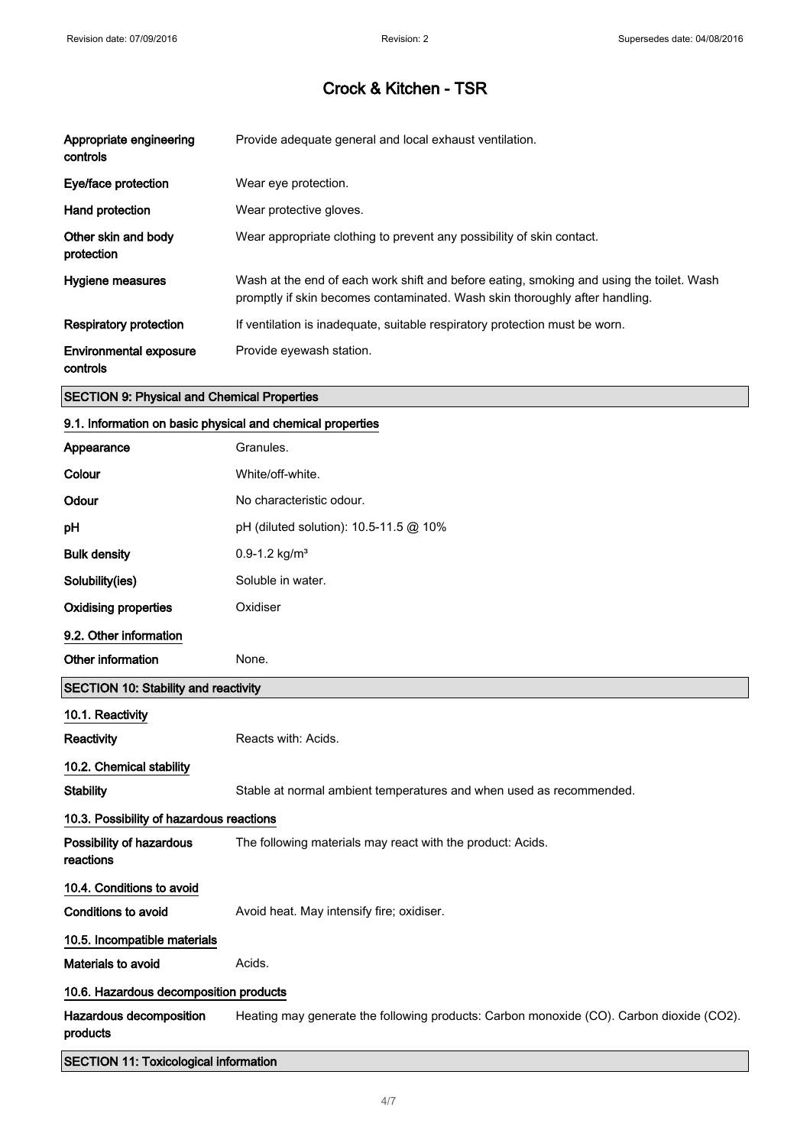| Appropriate engineering<br>controls       | Provide adequate general and local exhaust ventilation.                                                                                                                 |
|-------------------------------------------|-------------------------------------------------------------------------------------------------------------------------------------------------------------------------|
| Eye/face protection                       | Wear eye protection.                                                                                                                                                    |
| Hand protection                           | Wear protective gloves.                                                                                                                                                 |
| Other skin and body<br>protection         | Wear appropriate clothing to prevent any possibility of skin contact.                                                                                                   |
| Hygiene measures                          | Wash at the end of each work shift and before eating, smoking and using the toilet. Wash<br>promptly if skin becomes contaminated. Wash skin thoroughly after handling. |
| Respiratory protection                    | If ventilation is inadequate, suitable respiratory protection must be worn.                                                                                             |
| <b>Environmental exposure</b><br>controls | Provide eyewash station.                                                                                                                                                |

### SECTION 9: Physical and Chemical Properties

### 9.1. Information on basic physical and chemical properties

| Appearance                                   | Granules.                                                                                |
|----------------------------------------------|------------------------------------------------------------------------------------------|
| Colour                                       | White/off-white.                                                                         |
| Odour                                        | No characteristic odour.                                                                 |
| рH                                           | pH (diluted solution): 10.5-11.5 @ 10%                                                   |
| <b>Bulk density</b>                          | $0.9 - 1.2$ kg/m <sup>3</sup>                                                            |
| Solubility(ies)                              | Soluble in water.                                                                        |
| <b>Oxidising properties</b>                  | Oxidiser                                                                                 |
| 9.2. Other information                       |                                                                                          |
| Other information                            | None.                                                                                    |
| <b>SECTION 10: Stability and reactivity</b>  |                                                                                          |
| 10.1. Reactivity                             |                                                                                          |
| Reactivity                                   | Reacts with: Acids.                                                                      |
| 10.2. Chemical stability                     |                                                                                          |
| <b>Stability</b>                             | Stable at normal ambient temperatures and when used as recommended.                      |
| 10.3. Possibility of hazardous reactions     |                                                                                          |
| Possibility of hazardous<br>reactions        | The following materials may react with the product: Acids.                               |
| 10.4. Conditions to avoid                    |                                                                                          |
| <b>Conditions to avoid</b>                   | Avoid heat. May intensify fire; oxidiser.                                                |
| 10.5. Incompatible materials                 |                                                                                          |
| Materials to avoid                           | Acids.                                                                                   |
| 10.6. Hazardous decomposition products       |                                                                                          |
| Hazardous decomposition<br>products          | Heating may generate the following products: Carbon monoxide (CO). Carbon dioxide (CO2). |
| <b>SECTION 11: Toxicological information</b> |                                                                                          |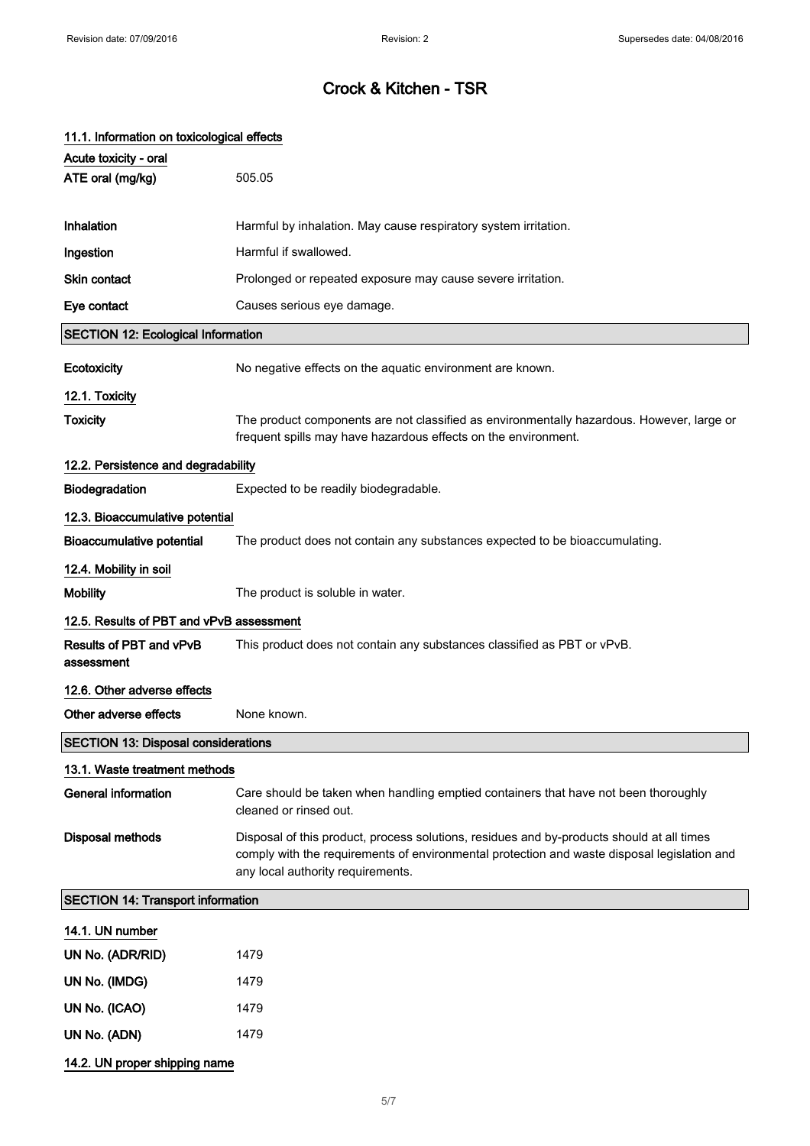| 11.1. Information on toxicological effects |                                                                                                                                                                                                                               |  |  |
|--------------------------------------------|-------------------------------------------------------------------------------------------------------------------------------------------------------------------------------------------------------------------------------|--|--|
| Acute toxicity - oral                      |                                                                                                                                                                                                                               |  |  |
| ATE oral (mg/kg)                           | 505.05                                                                                                                                                                                                                        |  |  |
|                                            |                                                                                                                                                                                                                               |  |  |
| Inhalation                                 | Harmful by inhalation. May cause respiratory system irritation.                                                                                                                                                               |  |  |
| Ingestion                                  | Harmful if swallowed.                                                                                                                                                                                                         |  |  |
| <b>Skin contact</b>                        | Prolonged or repeated exposure may cause severe irritation.                                                                                                                                                                   |  |  |
| Eye contact                                | Causes serious eye damage.                                                                                                                                                                                                    |  |  |
| <b>SECTION 12: Ecological Information</b>  |                                                                                                                                                                                                                               |  |  |
| <b>Ecotoxicity</b>                         | No negative effects on the aquatic environment are known.                                                                                                                                                                     |  |  |
| 12.1. Toxicity                             |                                                                                                                                                                                                                               |  |  |
| <b>Toxicity</b>                            | The product components are not classified as environmentally hazardous. However, large or<br>frequent spills may have hazardous effects on the environment.                                                                   |  |  |
| 12.2. Persistence and degradability        |                                                                                                                                                                                                                               |  |  |
| Biodegradation                             | Expected to be readily biodegradable.                                                                                                                                                                                         |  |  |
| 12.3. Bioaccumulative potential            |                                                                                                                                                                                                                               |  |  |
| <b>Bioaccumulative potential</b>           | The product does not contain any substances expected to be bioaccumulating.                                                                                                                                                   |  |  |
| 12.4. Mobility in soil                     |                                                                                                                                                                                                                               |  |  |
| <b>Mobility</b>                            | The product is soluble in water.                                                                                                                                                                                              |  |  |
| 12.5. Results of PBT and vPvB assessment   |                                                                                                                                                                                                                               |  |  |
| Results of PBT and vPvB<br>assessment      | This product does not contain any substances classified as PBT or vPvB.                                                                                                                                                       |  |  |
| 12.6. Other adverse effects                |                                                                                                                                                                                                                               |  |  |
| Other adverse effects                      | None known.                                                                                                                                                                                                                   |  |  |
| <b>SECTION 13: Disposal considerations</b> |                                                                                                                                                                                                                               |  |  |
| 13.1. Waste treatment methods              |                                                                                                                                                                                                                               |  |  |
| <b>General information</b>                 | Care should be taken when handling emptied containers that have not been thoroughly<br>cleaned or rinsed out.                                                                                                                 |  |  |
| <b>Disposal methods</b>                    | Disposal of this product, process solutions, residues and by-products should at all times<br>comply with the requirements of environmental protection and waste disposal legislation and<br>any local authority requirements. |  |  |
| <b>SECTION 14: Transport information</b>   |                                                                                                                                                                                                                               |  |  |
| 14.1. UN number                            |                                                                                                                                                                                                                               |  |  |
| UN No. (ADR/RID)                           | 1479                                                                                                                                                                                                                          |  |  |
| UN No. (IMDG)                              | 1479                                                                                                                                                                                                                          |  |  |
| UN No. (ICAO)                              | 1479                                                                                                                                                                                                                          |  |  |
| UN No. (ADN)                               | 1479                                                                                                                                                                                                                          |  |  |
| 14.2. UN proper shipping name              |                                                                                                                                                                                                                               |  |  |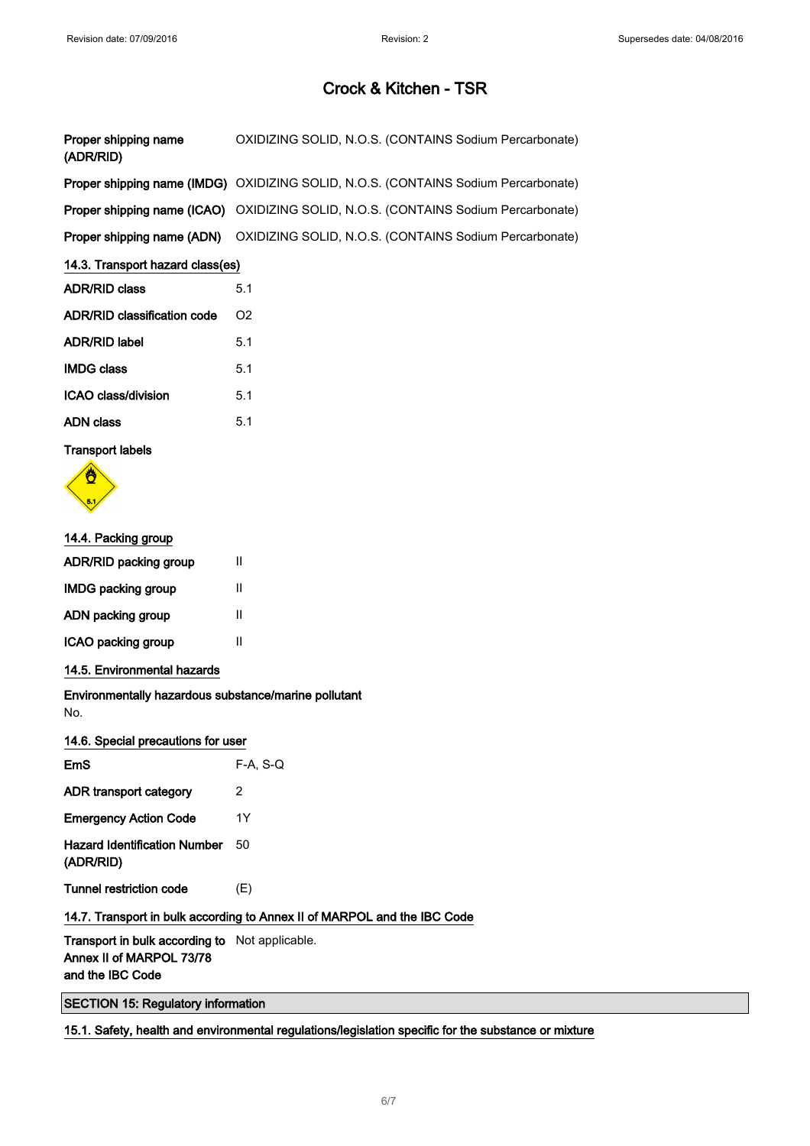| Proper shipping name<br>(ADR/RID) | OXIDIZING SOLID, N.O.S. (CONTAINS Sodium Percarbonate)                                    |  |
|-----------------------------------|-------------------------------------------------------------------------------------------|--|
|                                   | Proper shipping name (IMDG) OXIDIZING SOLID, N.O.S. (CONTAINS Sodium Percarbonate)        |  |
|                                   | <b>Proper shipping name (ICAO)</b> OXIDIZING SOLID, N.O.S. (CONTAINS Sodium Percarbonate) |  |
| Proper shipping name (ADN)        | OXIDIZING SOLID, N.O.S. (CONTAINS Sodium Percarbonate)                                    |  |
| 14.3. Transport hazard class(es)  |                                                                                           |  |

# ADR/RID class 5.1 ADR/RID classification code O2 ADR/RID label 5.1 IMDG class 5.1 ICAO class/division 5.1

| ADN class | 5.1 |
|-----------|-----|
|           |     |

### Transport labels



### 14.4. Packing group

| <b>ADR/RID packing group</b> | Ш |
|------------------------------|---|
| <b>IMDG packing group</b>    | Ш |
| ADN packing group            | Ш |
| ICAO packing group           | Ш |

### 14.5. Environmental hazards

Environmentally hazardous substance/marine pollutant No.

#### 14.6. Special precautions for user

| EmS                                              | $F-A. S-Q$ |
|--------------------------------------------------|------------|
| ADR transport category                           | 2          |
| <b>Emergency Action Code</b>                     | 1Y         |
| <b>Hazard Identification Number</b><br>(ADR/RID) | 50         |
| <b>Tunnel restriction code</b>                   | (E)        |
| 14.7 Transport in bulk according to Anney        |            |

# 14.7. Transport in bulk according to Annex II of MARPOL and the IBC Code

Transport in bulk according to Not applicable. Annex II of MARPOL 73/78 and the IBC Code

SECTION 15: Regulatory information

### 15.1. Safety, health and environmental regulations/legislation specific for the substance or mixture